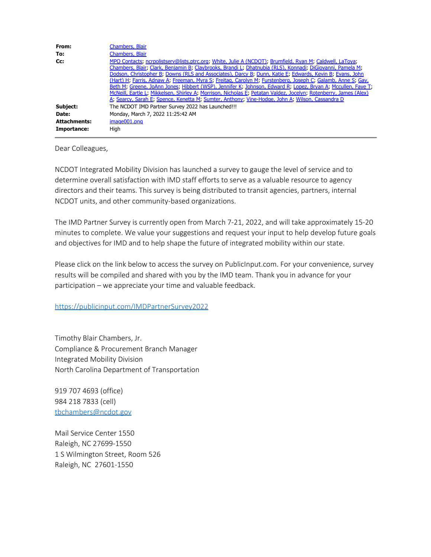| From:               | Chambers, Blair                                                                                                                                                                                                                                                                                                                                                                                                                                                                                                                                                                                                                                                                                                                                                                          |
|---------------------|------------------------------------------------------------------------------------------------------------------------------------------------------------------------------------------------------------------------------------------------------------------------------------------------------------------------------------------------------------------------------------------------------------------------------------------------------------------------------------------------------------------------------------------------------------------------------------------------------------------------------------------------------------------------------------------------------------------------------------------------------------------------------------------|
| To:                 | Chambers, Blair                                                                                                                                                                                                                                                                                                                                                                                                                                                                                                                                                                                                                                                                                                                                                                          |
| Cc:                 | MPO Contacts; ncrpolistserv@lists.ptrc.org; White, Julie A (NCDOT); Brumfield, Ryan M; Caldwell, LaToya;<br>Chambers, Blair; Clark, Benjamin B; Claybrooks, Brandi L; Dhatnubia (RLS), Konnadi; DiGiovanni, Pamela M;<br>Dodson, Christopher B, Downs (RLS and Associates), Darcy B, Dunn, Katie E, Edwards, Kevin B, Evans, John<br>(Hart) H. Farris, Adnaw A. Freeman, Myra S. Freitag, Carolyn M. Furstenberg, Joseph C. Galamb, Anne S. Gay,<br>Beth M; Greene, JoAnn Jones; Hibbert (WSP), Jennifer K; Johnson, Edward R; Lopez, Bryan A; Mccullen, Faye T;<br>McNeill, Eartle L, Mikkelsen, Shirley A, Morrison, Nicholas E, Petatan Valdez, Jocelyn, Rotenberry, James (Alex)<br>A. Searcy, Sarah E. Spence, Kenetta M. Sumter, Anthony: Vine-Hodge, John A. Wilson, Cassandra D. |
| Subject:            | The NCDOT IMD Partner Survey 2022 has Launched!!!                                                                                                                                                                                                                                                                                                                                                                                                                                                                                                                                                                                                                                                                                                                                        |
| Date:               | Monday, March 7, 2022 11:25:42 AM                                                                                                                                                                                                                                                                                                                                                                                                                                                                                                                                                                                                                                                                                                                                                        |
| <b>Attachments:</b> | $imae001.$ pna                                                                                                                                                                                                                                                                                                                                                                                                                                                                                                                                                                                                                                                                                                                                                                           |
| Importance:         | Hiah                                                                                                                                                                                                                                                                                                                                                                                                                                                                                                                                                                                                                                                                                                                                                                                     |

Dear Colleagues,

NCDOT Integrated Mobility Division has launched a survey to gauge the level of service and to determine overall satisfaction with IMD staff efforts to serve as a valuable resource to agency directors and their teams. This survey is being distributed to transit agencies, partners, internal NCDOT units, and other community-based organizations.

The IMD Partner Survey is currently open from March 7-21, 2022, and will take approximately 15-20 minutes to complete. We value your suggestions and request your input to help develop future goals and objectives for IMD and to help shape the future of integrated mobility within our state.

Please click on the link below to access the survey on PublicInput.com. For your convenience, survey results will be compiled and shared with you by the IMD team. Thank you in advance for your participation – we appreciate your time and valuable feedback.

## <https://publicinput.com/IMDPartnerSurvey2022>

Timothy Blair Chambers, Jr. Compliance & Procurement Branch Manager Integrated Mobility Division North Carolina Department of Transportation

919 707 4693 (office) 984 218 7833 (cell) [tbchambers@ncdot.gov](mailto:tbchambers@ncdot.gov)

Mail Service Center 1550 Raleigh, NC 27699-1550 1 S Wilmington Street, Room 526 Raleigh, NC 27601-1550